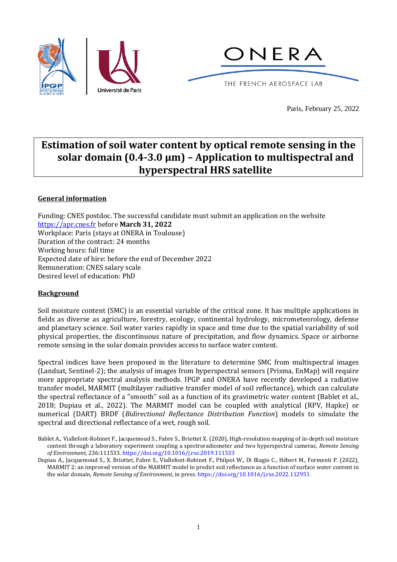



Paris, February 25, 2022

# **Estimation of soil water content by optical remote sensing in the solar domain (0.4-3.0 μm) – Application to multispectral and hyperspectral HRS satellite**

## **General information**

Funding: CNES postdoc. The successful candidate must submit an application on the website [https://apr.cnes.fr](https://apr.cnes.fr/) before **March 31, 2022** Workplace: Paris (stays at ONERA in Toulouse) Duration of the contract: 24 months Working hours: full time Expected date of hire: before the end of December 2022 Remuneration: CNES salary scale Desired level of education: PhD

### **Background**

Soil moisture content (SMC) is an essential variable of the critical zone. It has multiple applications in fields as diverse as agriculture, forestry, ecology, continental hydrology, micrometeorology, defense and planetary science. Soil water varies rapidly in space and time due to the spatial variability of soil physical properties, the discontinuous nature of precipitation, and flow dynamics. Space or airborne remote sensing in the solar domain provides access to surface water content.

Spectral indices have been proposed in the literature to determine SMC from multispectral images (Landsat, Sentinel-2); the analysis of images from hyperspectral sensors (Prisma, EnMap) will require more appropriate spectral analysis methods. IPGP and ONERA have recently developed a radiative transfer model, MARMIT (multilayer radiative transfer model of soil reflectance), which can calculate the spectral reflectance of a "smooth" soil as a function of its gravimetric water content (Bablet et al., 2018; Dupiau et al., 2022). The MARMIT model can be coupled with analytical (RPV, Hapke) or numerical (DART) BRDF (*Bidirectional Reflectance Distribution Function*) models to simulate the spectral and directional reflectance of a wet, rough soil.

Dupiau A., Jacquemoud S., X. Briottet, Fabre S., Viallefont-Robinet F., Philpot W., Di Biagio C., Hébert M., Formenti P. (2022), MARMIT 2: an improved version of the MARMIT model to predict soil reflectance as a function of surface water content in the solar domain, *Remote Sensing of Environment*, in press[. https://doi.org/10.1016/j.rse.2022.112951](https://doi.org/10.1016/j.rse.2022.112951)

Bablet A., Viallefont-Robinet F., Jacquemoud S., Fabre S., Briottet X. (2020), High-resolution mapping of in-depth soil moisture content through a laboratory experiment coupling a spectroradiometer and two hyperspectral cameras, *Remote Sensing of Environment*, 236:111533[. https://doi.org/10.1016/j.rse.2019.111533](https://doi.org/10.1016/j.rse.2019.111533)